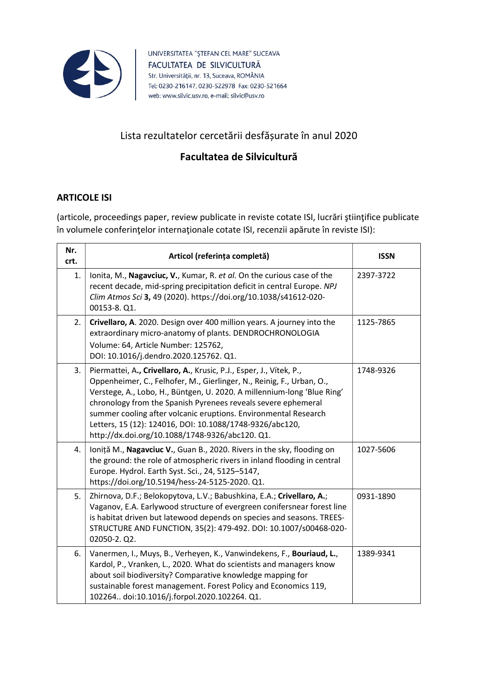

UNIVERSITATEA "ŞTEFAN CEL MARE" SUCEAVA FACULTATEA DE SILVICULTURĂ Str. Universității, nr. 13, Suceava, ROMÂNIA Tel: 0230-216147, 0230-522978 Fax: 0230-521664 web: www.silvic.usv.ro, e-mail: silvic@usv.ro

### Lista rezultatelor cercetării desfășurate în anul 2020

### Facultatea de Silvicultură

#### ARTICOLE ISI

(articole, proceedings paper, review publicate in reviste cotate ISI, lucrări ştiinţifice publicate în volumele conferinţelor internaţionale cotate ISI, recenzii apărute în reviste ISI):

| Nr.<br>crt. | Articol (referința completă)                                                                                                                                                                                                                                                                                                                                                                                                                                               | <b>ISSN</b> |
|-------------|----------------------------------------------------------------------------------------------------------------------------------------------------------------------------------------------------------------------------------------------------------------------------------------------------------------------------------------------------------------------------------------------------------------------------------------------------------------------------|-------------|
| 1.          | Ionita, M., Nagavciuc, V., Kumar, R. et al. On the curious case of the<br>recent decade, mid-spring precipitation deficit in central Europe. NPJ<br>Clim Atmos Sci 3, 49 (2020). https://doi.org/10.1038/s41612-020-<br>00153-8. Q1.                                                                                                                                                                                                                                       | 2397-3722   |
| 2.          | Crivellaro, A. 2020. Design over 400 million years. A journey into the<br>extraordinary micro-anatomy of plants. DENDROCHRONOLOGIA<br>Volume: 64, Article Number: 125762,<br>DOI: 10.1016/j.dendro.2020.125762. Q1.                                                                                                                                                                                                                                                        | 1125-7865   |
| 3.          | Piermattei, A., Crivellaro, A., Krusic, P.J., Esper, J., Vítek, P.,<br>Oppenheimer, C., Felhofer, M., Gierlinger, N., Reinig, F., Urban, O.,<br>Verstege, A., Lobo, H., Büntgen, U. 2020. A millennium-long 'Blue Ring'<br>chronology from the Spanish Pyrenees reveals severe ephemeral<br>summer cooling after volcanic eruptions. Environmental Research<br>Letters, 15 (12): 124016, DOI: 10.1088/1748-9326/abc120,<br>http://dx.doi.org/10.1088/1748-9326/abc120. Q1. | 1748-9326   |
| 4.          | Ioniță M., Nagavciuc V., Guan B., 2020. Rivers in the sky, flooding on<br>the ground: the role of atmospheric rivers in inland flooding in central<br>Europe. Hydrol. Earth Syst. Sci., 24, 5125-5147,<br>https://doi.org/10.5194/hess-24-5125-2020. Q1.                                                                                                                                                                                                                   | 1027-5606   |
| 5.          | Zhirnova, D.F.; Belokopytova, L.V.; Babushkina, E.A.; Crivellaro, A.;<br>Vaganov, E.A. Earlywood structure of evergreen conifersnear forest line<br>is habitat driven but latewood depends on species and seasons. TREES-<br>STRUCTURE AND FUNCTION, 35(2): 479-492. DOI: 10.1007/s00468-020-<br>02050-2. Q2.                                                                                                                                                              | 0931-1890   |
| 6.          | Vanermen, I., Muys, B., Verheyen, K., Vanwindekens, F., Bouriaud, L.,<br>Kardol, P., Vranken, L., 2020. What do scientists and managers know<br>about soil biodiversity? Comparative knowledge mapping for<br>sustainable forest management. Forest Policy and Economics 119,<br>102264 doi:10.1016/j.forpol.2020.102264. Q1.                                                                                                                                              | 1389-9341   |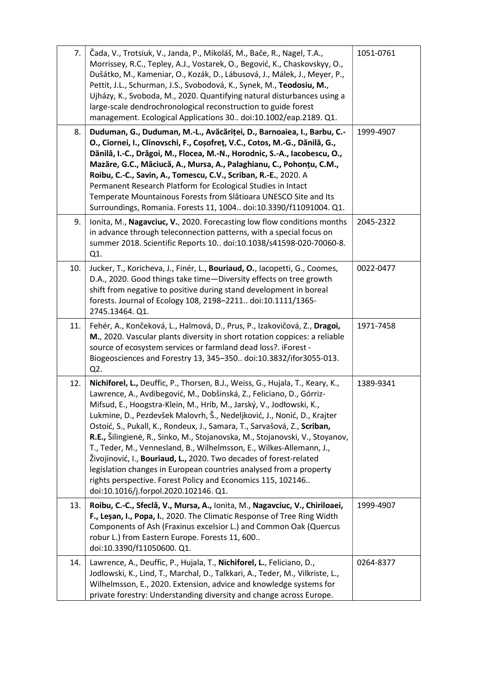| 7.  | Čada, V., Trotsiuk, V., Janda, P., Mikoláš, M., Bače, R., Nagel, T.A.,<br>Morrissey, R.C., Tepley, A.J., Vostarek, O., Begović, K., Chaskovskyy, O.,<br>Dušátko, M., Kameniar, O., Kozák, D., Lábusová, J., Málek, J., Meyer, P.,<br>Pettit, J.L., Schurman, J.S., Svobodová, K., Synek, M., Teodosiu, M.,<br>Ujházy, K., Svoboda, M., 2020. Quantifying natural disturbances using a<br>large-scale dendrochronological reconstruction to guide forest<br>management. Ecological Applications 30 doi:10.1002/eap.2189. Q1.                                                                                                                                                                                                                                                                             | 1051-0761 |
|-----|---------------------------------------------------------------------------------------------------------------------------------------------------------------------------------------------------------------------------------------------------------------------------------------------------------------------------------------------------------------------------------------------------------------------------------------------------------------------------------------------------------------------------------------------------------------------------------------------------------------------------------------------------------------------------------------------------------------------------------------------------------------------------------------------------------|-----------|
| 8.  | Duduman, G., Duduman, M.-L., Avăcăriței, D., Barnoaiea, I., Barbu, C.-<br>O., Ciornei, I., Clinovschi, F., Coșofreț, V.C., Cotos, M.-G., Dănilă, G.,<br>Dănilă, I.-C., Drăgoi, M., Flocea, M.-N., Horodnic, S.-A., Iacobescu, O.,<br>Mazăre, G.C., Măciucă, A., Mursa, A., Palaghianu, C., Pohonțu, C.M.,<br>Roibu, C.-C., Savin, A., Tomescu, C.V., Scriban, R.-E., 2020. A<br>Permanent Research Platform for Ecological Studies in Intact<br>Temperate Mountainous Forests from Slătioara UNESCO Site and Its<br>Surroundings, Romania. Forests 11, 1004 doi:10.3390/f11091004. Q1.                                                                                                                                                                                                                  | 1999-4907 |
| 9.  | Ionita, M., Nagavciuc, V., 2020. Forecasting low flow conditions months<br>in advance through teleconnection patterns, with a special focus on<br>summer 2018. Scientific Reports 10 doi:10.1038/s41598-020-70060-8.<br>Q1.                                                                                                                                                                                                                                                                                                                                                                                                                                                                                                                                                                             | 2045-2322 |
| 10. | Jucker, T., Koricheva, J., Finér, L., Bouriaud, O., Iacopetti, G., Coomes,<br>D.A., 2020. Good things take time-Diversity effects on tree growth<br>shift from negative to positive during stand development in boreal<br>forests. Journal of Ecology 108, 2198-2211 doi:10.1111/1365-<br>2745.13464. Q1.                                                                                                                                                                                                                                                                                                                                                                                                                                                                                               | 0022-0477 |
| 11. | Fehér, A., Končeková, L., Halmová, D., Prus, P., Izakovičová, Z., Dragoi,<br>M., 2020. Vascular plants diversity in short rotation coppices: a reliable<br>source of ecosystem services or farmland dead loss?. iForest -<br>Biogeosciences and Forestry 13, 345-350 doi:10.3832/ifor3055-013.<br>Q2.                                                                                                                                                                                                                                                                                                                                                                                                                                                                                                   | 1971-7458 |
| 12. | Nichiforel, L., Deuffic, P., Thorsen, B.J., Weiss, G., Hujala, T., Keary, K.,<br>Lawrence, A., Avdibegović, M., Dobšinská, Z., Feliciano, D., Górriz-<br>Mifsud, E., Hoogstra-Klein, M., Hrib, M., Jarský, V., Jodłowski, K.,<br>Lukmine, D., Pezdevšek Malovrh, Š., Nedeljković, J., Nonić, D., Krajter<br>Ostoić, S., Pukall, K., Rondeux, J., Samara, T., Sarvašová, Z., Scriban,<br>R.E., Šilingienė, R., Sinko, M., Stojanovska, M., Stojanovski, V., Stoyanov,<br>T., Teder, M., Vennesland, B., Wilhelmsson, E., Wilkes-Allemann, J.,<br>Živojinović, I., <b>Bouriaud, L.,</b> 2020. Two decades of forest-related<br>legislation changes in European countries analysed from a property<br>rights perspective. Forest Policy and Economics 115, 102146<br>doi:10.1016/j.forpol.2020.102146. Q1. | 1389-9341 |
| 13. | Roibu, C.-C., Sfeclă, V., Mursa, A., Ionita, M., Nagavciuc, V., Chiriloaei,<br>F., Lesan, I., Popa, I., 2020. The Climatic Response of Tree Ring Width<br>Components of Ash (Fraxinus excelsior L.) and Common Oak (Quercus<br>robur L.) from Eastern Europe. Forests 11, 600<br>doi:10.3390/f11050600. Q1.                                                                                                                                                                                                                                                                                                                                                                                                                                                                                             | 1999-4907 |
| 14. | Lawrence, A., Deuffic, P., Hujala, T., Nichiforel, L., Feliciano, D.,<br>Jodlowski, K., Lind, T., Marchal, D., Talkkari, A., Teder, M., Vilkriste, L.,<br>Wilhelmsson, E., 2020. Extension, advice and knowledge systems for<br>private forestry: Understanding diversity and change across Europe.                                                                                                                                                                                                                                                                                                                                                                                                                                                                                                     | 0264-8377 |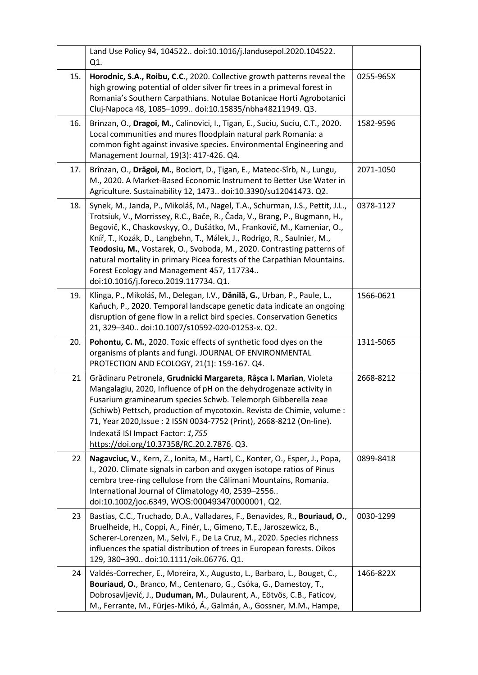|     | Land Use Policy 94, 104522 doi:10.1016/j.landusepol.2020.104522.<br>Q1.                                                                                                                                                                                                                                                                                                                                                                                                                                                                                       |           |
|-----|---------------------------------------------------------------------------------------------------------------------------------------------------------------------------------------------------------------------------------------------------------------------------------------------------------------------------------------------------------------------------------------------------------------------------------------------------------------------------------------------------------------------------------------------------------------|-----------|
| 15. | Horodnic, S.A., Roibu, C.C., 2020. Collective growth patterns reveal the<br>high growing potential of older silver fir trees in a primeval forest in<br>Romania's Southern Carpathians. Notulae Botanicae Horti Agrobotanici<br>Cluj-Napoca 48, 1085-1099 doi:10.15835/nbha48211949. Q3.                                                                                                                                                                                                                                                                      | 0255-965X |
| 16. | Brinzan, O., Dragoi, M., Calinovici, I., Tigan, E., Suciu, Suciu, C.T., 2020.<br>Local communities and mures floodplain natural park Romania: a<br>common fight against invasive species. Environmental Engineering and<br>Management Journal, 19(3): 417-426. Q4.                                                                                                                                                                                                                                                                                            | 1582-9596 |
| 17. | Brînzan, O., Drăgoi, M., Bociort, D., Țigan, E., Mateoc-Sîrb, N., Lungu,<br>M., 2020. A Market-Based Economic Instrument to Better Use Water in<br>Agriculture. Sustainability 12, 1473 doi:10.3390/su12041473. Q2.                                                                                                                                                                                                                                                                                                                                           | 2071-1050 |
| 18. | Synek, M., Janda, P., Mikoláš, M., Nagel, T.A., Schurman, J.S., Pettit, J.L.,<br>Trotsiuk, V., Morrissey, R.C., Bače, R., Čada, V., Brang, P., Bugmann, H.,<br>Begovič, K., Chaskovskyy, O., Dušátko, M., Frankovič, M., Kameniar, O.,<br>Kníř, T., Kozák, D., Langbehn, T., Málek, J., Rodrigo, R., Saulnier, M.,<br>Teodosiu, M., Vostarek, O., Svoboda, M., 2020. Contrasting patterns of<br>natural mortality in primary Picea forests of the Carpathian Mountains.<br>Forest Ecology and Management 457, 117734<br>doi:10.1016/j.foreco.2019.117734. Q1. | 0378-1127 |
| 19. | Klinga, P., Mikoláš, M., Delegan, I.V., Dănilă, G., Urban, P., Paule, L.,<br>Kaňuch, P., 2020. Temporal landscape genetic data indicate an ongoing<br>disruption of gene flow in a relict bird species. Conservation Genetics<br>21, 329-340 doi:10.1007/s10592-020-01253-x. Q2.                                                                                                                                                                                                                                                                              | 1566-0621 |
| 20. | Pohontu, C. M., 2020. Toxic effects of synthetic food dyes on the<br>organisms of plants and fungi. JOURNAL OF ENVIRONMENTAL<br>PROTECTION AND ECOLOGY, 21(1): 159-167. Q4.                                                                                                                                                                                                                                                                                                                                                                                   | 1311-5065 |
| 21  | Grădinaru Petronela, Grudnicki Margareta, Râșca I. Marian, Violeta<br>Mangalagiu, 2020, Influence of pH on the dehydrogenaze activity in<br>Fusarium graminearum species Schwb. Telemorph Gibberella zeae<br>(Schiwb) Pettsch, production of mycotoxin. Revista de Chimie, volume :<br>71, Year 2020, Issue: 2 ISSN 0034-7752 (Print), 2668-8212 (On-line).<br>Indexată ISI Impact Factor: 1,755<br>https://doi.org/10.37358/RC.20.2.7876. Q3.                                                                                                                | 2668-8212 |
| 22  | Nagavciuc, V., Kern, Z., Ionita, M., Hartl, C., Konter, O., Esper, J., Popa,<br>I., 2020. Climate signals in carbon and oxygen isotope ratios of Pinus<br>cembra tree-ring cellulose from the Călimani Mountains, Romania.<br>International Journal of Climatology 40, 2539-2556<br>doi:10.1002/joc.6349, WOS:000493470000001, Q2.                                                                                                                                                                                                                            | 0899-8418 |
| 23  | Bastias, C.C., Truchado, D.A., Valladares, F., Benavides, R., Bouriaud, O.,<br>Bruelheide, H., Coppi, A., Finér, L., Gimeno, T.E., Jaroszewicz, B.,<br>Scherer-Lorenzen, M., Selvi, F., De La Cruz, M., 2020. Species richness<br>influences the spatial distribution of trees in European forests. Oikos<br>129, 380-390 doi:10.1111/oik.06776. Q1.                                                                                                                                                                                                          | 0030-1299 |
| 24  | Valdés-Correcher, E., Moreira, X., Augusto, L., Barbaro, L., Bouget, C.,<br>Bouriaud, O., Branco, M., Centenaro, G., Csóka, G., Damestoy, T.,<br>Dobrosavljević, J., Duduman, M., Dulaurent, A., Eötvös, C.B., Faticov,<br>M., Ferrante, M., Fürjes-Mikó, Á., Galmán, A., Gossner, M.M., Hampe,                                                                                                                                                                                                                                                               | 1466-822X |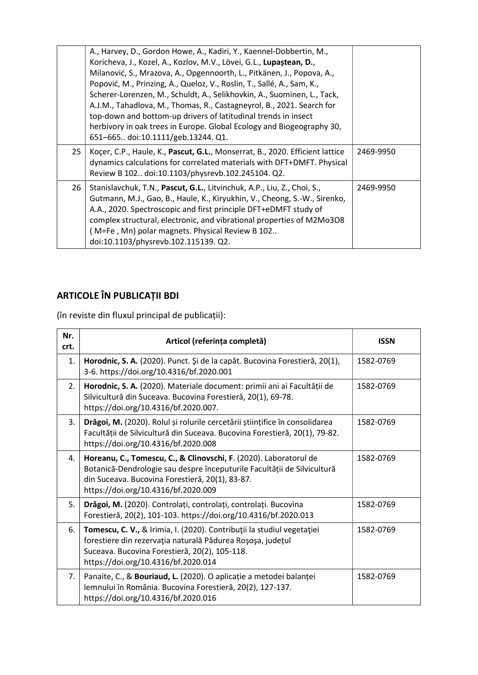|    | A., Harvey, D., Gordon Howe, A., Kadiri, Y., Kaennel-Dobbertin, M.,<br>Koricheva, J., Kozel, A., Kozlov, M.V., Lövei, G.L., Lupaștean, D.,<br>Milanović, S., Mrazova, A., Opgennoorth, L., Pitkänen, J., Popova, A.,<br>Popović, M., Prinzing, A., Queloz, V., Roslin, T., Sallé, A., Sam, K.,<br>Scherer-Lorenzen, M., Schuldt, A., Selikhovkin, A., Suominen, L., Tack,<br>A.J.M., Tahadlova, M., Thomas, R., Castagneyrol, B., 2021. Search for<br>top-down and bottom-up drivers of latitudinal trends in insect<br>herbivory in oak trees in Europe. Global Ecology and Biogeography 30,<br>651-665 doi:10.1111/geb.13244. Q1. |           |
|----|-------------------------------------------------------------------------------------------------------------------------------------------------------------------------------------------------------------------------------------------------------------------------------------------------------------------------------------------------------------------------------------------------------------------------------------------------------------------------------------------------------------------------------------------------------------------------------------------------------------------------------------|-----------|
| 25 | Kocer, C.P., Haule, K., Pascut, G.L., Monserrat, B., 2020. Efficient lattice<br>dynamics calculations for correlated materials with DFT+DMFT. Physical<br>Review B 102 doi:10.1103/physrevb.102.245104. Q2.                                                                                                                                                                                                                                                                                                                                                                                                                         | 2469-9950 |
| 26 | Stanislavchuk, T.N., Pascut, G.L., Litvinchuk, A.P., Liu, Z., Choi, S.,<br>Gutmann, M.J., Gao, B., Haule, K., Kiryukhin, V., Cheong, S.-W., Sirenko,<br>A.A., 2020. Spectroscopic and first principle DFT+eDMFT study of<br>complex structural, electronic, and vibrational properties of M2Mo3O8<br>(M=Fe, Mn) polar magnets. Physical Review B 102<br>doi:10.1103/physrevb.102.115139. Q2.                                                                                                                                                                                                                                        | 2469-9950 |

# ARTICOLE ÎN PUBLICAȚII BDI

(în reviste din fluxul principal de publicații):

| Nr.<br>crt. | Articol (referința completă)                                                                                                                                                                                                           | <b>ISSN</b> |
|-------------|----------------------------------------------------------------------------------------------------------------------------------------------------------------------------------------------------------------------------------------|-------------|
| 1.          | Horodnic, S. A. (2020). Punct. Și de la capăt. Bucovina Forestieră, 20(1),<br>3-6. https://doi.org/10.4316/bf.2020.001                                                                                                                 | 1582-0769   |
| 2.          | Horodnic, S. A. (2020). Materiale document: primii ani ai Facultății de<br>Silvicultură din Suceava. Bucovina Forestieră, 20(1), 69-78.<br>https://doi.org/10.4316/bf.2020.007.                                                        | 1582-0769   |
| 3.          | Drăgoi, M. (2020). Rolul și rolurile cercetării științifice în consolidarea<br>Facultății de Silvicultură din Suceava. Bucovina Forestieră, 20(1), 79-82.<br>https://doi.org/10.4316/bf.2020.008                                       | 1582-0769   |
| 4.          | Horeanu, C., Tomescu, C., & Clinovschi, F. (2020). Laboratorul de<br>Botanică-Dendrologie sau despre începuturile Facultății de Silvicultură<br>din Suceava. Bucovina Forestieră, 20(1), 83-87.<br>https://doi.org/10.4316/bf.2020.009 | 1582-0769   |
| 5.          | Drăgoi, M. (2020). Controlați, controlați, controlați. Bucovina<br>Forestieră, 20(2), 101-103. https://doi.org/10.4316/bf.2020.013                                                                                                     | 1582-0769   |
| 6.          | Tomescu, C. V., & Irimia, I. (2020). Contribuții la studiul vegetației<br>forestiere din rezervația naturală Pădurea Roșoșa, județul<br>Suceava. Bucovina Forestieră, 20(2), 105-118.<br>https://doi.org/10.4316/bf.2020.014           | 1582-0769   |
| 7.          | Panaite, C., & Bouriaud, L. (2020). O aplicație a metodei balanței<br>lemnului în România. Bucovina Forestieră, 20(2), 127-137.<br>https://doi.org/10.4316/bf.2020.016                                                                 | 1582-0769   |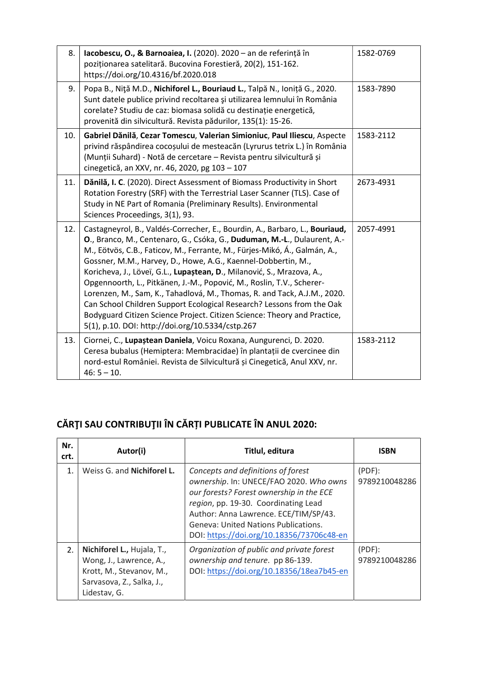| 8.  | lacobescu, O., & Barnoaiea, I. (2020). 2020 - an de referință în<br>poziționarea satelitară. Bucovina Forestieră, 20(2), 151-162.<br>https://doi.org/10.4316/bf.2020.018                                                                                                                                                                                                                                                                                                                                                                                                                                                                                                                                                                      | 1582-0769 |
|-----|-----------------------------------------------------------------------------------------------------------------------------------------------------------------------------------------------------------------------------------------------------------------------------------------------------------------------------------------------------------------------------------------------------------------------------------------------------------------------------------------------------------------------------------------------------------------------------------------------------------------------------------------------------------------------------------------------------------------------------------------------|-----------|
| 9.  | Popa B., Niță M.D., Nichiforel L., Bouriaud L., Talpă N., Ioniță G., 2020.<br>Sunt datele publice privind recoltarea și utilizarea lemnului în România<br>corelate? Studiu de caz: biomasa solidă cu destinație energetică,<br>provenită din silvicultură. Revista pădurilor, 135(1): 15-26.                                                                                                                                                                                                                                                                                                                                                                                                                                                  | 1583-7890 |
| 10. | Gabriel Dănilă, Cezar Tomescu, Valerian Simioniuc, Paul Iliescu, Aspecte<br>privind răspândirea cocoșului de mesteacăn (Lyrurus tetrix L.) în România<br>(Munții Suhard) - Notă de cercetare - Revista pentru silvicultură și<br>cinegetică, an XXV, nr. 46, 2020, pg 103 - 107                                                                                                                                                                                                                                                                                                                                                                                                                                                               | 1583-2112 |
| 11. | Dănilă, I. C. (2020). Direct Assessment of Biomass Productivity in Short<br>Rotation Forestry (SRF) with the Terrestrial Laser Scanner (TLS). Case of<br>Study in NE Part of Romania (Preliminary Results). Environmental<br>Sciences Proceedings, 3(1), 93.                                                                                                                                                                                                                                                                                                                                                                                                                                                                                  | 2673-4931 |
| 12. | Castagneyrol, B., Valdés-Correcher, E., Bourdin, A., Barbaro, L., Bouriaud,<br>O., Branco, M., Centenaro, G., Csóka, G., Duduman, M.-L., Dulaurent, A.-<br>M., Eötvös, C.B., Faticov, M., Ferrante, M., Fürjes-Mikó, Á., Galmán, A.,<br>Gossner, M.M., Harvey, D., Howe, A.G., Kaennel-Dobbertin, M.,<br>Koricheva, J., Löveï, G.L., Lupaștean, D., Milanović, S., Mrazova, A.,<br>Opgennoorth, L., Pitkänen, J.-M., Popović, M., Roslin, T.V., Scherer-<br>Lorenzen, M., Sam, K., Tahadlová, M., Thomas, R. and Tack, A.J.M., 2020.<br>Can School Children Support Ecological Research? Lessons from the Oak<br>Bodyguard Citizen Science Project. Citizen Science: Theory and Practice,<br>5(1), p.10. DOI: http://doi.org/10.5334/cstp.267 | 2057-4991 |
| 13. | Ciornei, C., Lupaștean Daniela, Voicu Roxana, Aungurenci, D. 2020.<br>Ceresa bubalus (Hemiptera: Membracidae) în plantații de cvercinee din<br>nord-estul României. Revista de Silvicultură și Cinegetică, Anul XXV, nr.<br>$46:5 - 10.$                                                                                                                                                                                                                                                                                                                                                                                                                                                                                                      | 1583-2112 |

# CĂRŢI SAU CONTRIBUŢII ÎN CĂRȚI PUBLICATE ÎN ANUL 2020:

| Nr.<br>crt.    | Autor(i)                                                                                                                       | Titlul, editura                                                                                                                                                                                                                                                                                        | ISBN                       |
|----------------|--------------------------------------------------------------------------------------------------------------------------------|--------------------------------------------------------------------------------------------------------------------------------------------------------------------------------------------------------------------------------------------------------------------------------------------------------|----------------------------|
| $\mathbf{1}$ . | Weiss G. and Nichiforel L.                                                                                                     | Concepts and definitions of forest<br>ownership. In: UNECE/FAO 2020. Who owns<br>our forests? Forest ownership in the ECE<br>region, pp. 19-30. Coordinating Lead<br>Author: Anna Lawrence. ECE/TIM/SP/43.<br><b>Geneva: United Nations Publications.</b><br>DOI: https://doi.org/10.18356/73706c48-en | $(PDF)$ :<br>9789210048286 |
| 2.             | Nichiforel L., Hujala, T.,<br>Wong, J., Lawrence, A.,<br>Krott, M., Stevanov, M.,<br>Sarvasova, Z., Salka, J.,<br>Lidestav, G. | Organization of public and private forest<br>ownership and tenure. pp 86-139.<br>DOI: https://doi.org/10.18356/18ea7b45-en                                                                                                                                                                             | $(PDF)$ :<br>9789210048286 |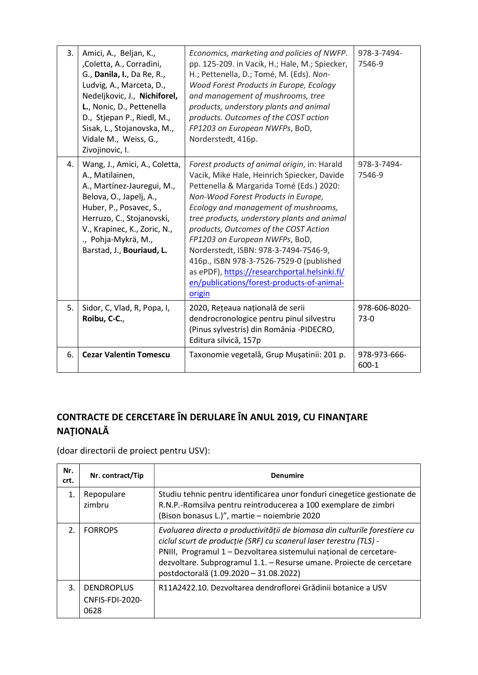| 3. | Amici, A., Beljan, K.,<br>,Coletta, A., Corradini,<br>G., Danila, I., Da Re, R.,<br>Ludvig, A., Marceta, D.,<br>Nedeljkovic, J., Nichiforel,<br>L., Nonic, D., Pettenella<br>D., Stjepan P., Riedl, M.,<br>Sisak, L., Stojanovska, M.,<br>Vidale M., Weiss, G.,<br>Zivojinovic, I. | Economics, marketing and policies of NWFP.<br>pp. 125-209. in Vacik, H.; Hale, M.; Spiecker,<br>H.; Pettenella, D.; Tomé, M. (Eds). Non-<br>Wood Forest Products in Europe, Ecology<br>and management of mushrooms, tree<br>products, understory plants and animal<br>products. Outcomes of the COST action<br>FP1203 on European NWFPs, BoD,<br>Norderstedt, 416p.                                                                                                                                                                            | 978-3-7494-<br>7546-9     |
|----|------------------------------------------------------------------------------------------------------------------------------------------------------------------------------------------------------------------------------------------------------------------------------------|------------------------------------------------------------------------------------------------------------------------------------------------------------------------------------------------------------------------------------------------------------------------------------------------------------------------------------------------------------------------------------------------------------------------------------------------------------------------------------------------------------------------------------------------|---------------------------|
| 4. | Wang, J., Amici, A., Coletta,<br>A., Matilainen,<br>A., Martínez-Jauregui, M.,<br>Belova, O., Japelj, A.,<br>Huber, P., Posavec, S.,<br>Herruzo, C., Stojanovski,<br>V., Krapinec, K., Zoric, N.,<br>., Pohja-Mykrä, M.,<br>Barstad, J., Bouriaud, L.                              | Forest products of animal origin, in: Harald<br>Vacik, Mike Hale, Heinrich Spiecker, Davide<br>Pettenella & Margarida Tomé (Eds.) 2020:<br>Non-Wood Forest Products in Europe,<br>Ecology and management of mushrooms,<br>tree products, understory plants and animal<br>products, Outcomes of the COST Action<br>FP1203 on European NWFPs, BoD,<br>Norderstedt, ISBN: 978-3-7494-7546-9,<br>416p., ISBN 978-3-7526-7529-0 (published<br>as ePDF), https://researchportal.helsinki.fi/<br>en/publications/forest-products-of-animal-<br>origin | 978-3-7494-<br>7546-9     |
| 5. | Sidor, C, Vlad, R, Popa, I,<br>Roibu, C-C.,                                                                                                                                                                                                                                        | 2020, Rețeaua națională de serii<br>dendrocronologice pentru pinul silvestru<br>(Pinus sylvestris) din România -PIDECRO,<br>Editura silvică, 157p                                                                                                                                                                                                                                                                                                                                                                                              | 978-606-8020-<br>$73-0$   |
| 6. | <b>Cezar Valentin Tomescu</b>                                                                                                                                                                                                                                                      | Taxonomie vegetală, Grup Mușatinii: 201 p.                                                                                                                                                                                                                                                                                                                                                                                                                                                                                                     | 978-973-666-<br>$600 - 1$ |

## CONTRACTE DE CERCETARE ÎN DERULARE ÎN ANUL 2019, CU FINANŢARE NAŢIONALĂ

(doar directorii de proiect pentru USV):

| Nr.<br>crt.           | Nr. contract/Tip                             | <b>Denumire</b>                                                                                                                                                                                                                                                                                                                          |
|-----------------------|----------------------------------------------|------------------------------------------------------------------------------------------------------------------------------------------------------------------------------------------------------------------------------------------------------------------------------------------------------------------------------------------|
| $\mathbf{1}$ .        | Repopulare<br>zimbru                         | Studiu tehnic pentru identificarea unor fonduri cinegetice gestionate de<br>R.N.P.-Romsilva pentru reintroducerea a 100 exemplare de zimbri<br>(Bison bonasus L.)", martie - noiembrie 2020                                                                                                                                              |
| $\mathcal{P}_{\cdot}$ | <b>FORROPS</b>                               | Evaluarea directa a productivității de biomasa din culturile forestiere cu<br>ciclul scurt de producție (SRF) cu scanerul laser terestru (TLS) -<br>PNIII, Programul 1 - Dezvoltarea sistemului național de cercetare-<br>dezvoltare. Subprogramul 1.1. - Resurse umane. Proiecte de cercetare<br>postdoctorală (1.09.2020 - 31.08.2022) |
| 3.                    | <b>DENDROPLUS</b><br>CNFIS-FDI-2020-<br>0628 | R11A2422.10. Dezvoltarea dendroflorei Grădinii botanice a USV                                                                                                                                                                                                                                                                            |